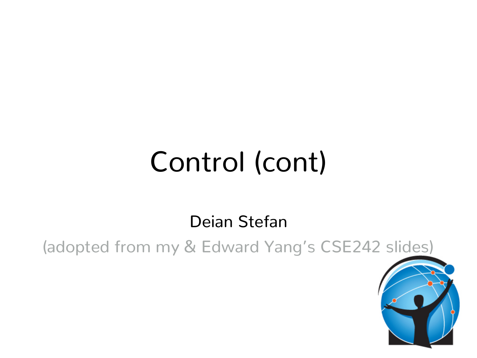# Control (cont)

Deian Stefan

(adopted from my & Edward Yang's CSE242 slides)

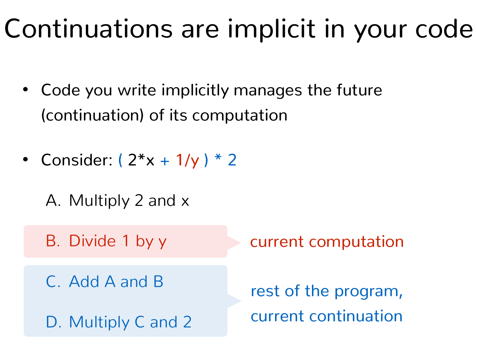#### Continuations are implicit in your code

- Code you write implicitly manages the future (continuation) of its computation
- Consider:  $(2*x + 1/y) * 2$ 
	- A. Multiply 2 and x
	- B. Divide 1 by y
	- C. Add A and B
	- D. Multiply C and 2

current computation

rest of the program, current continuation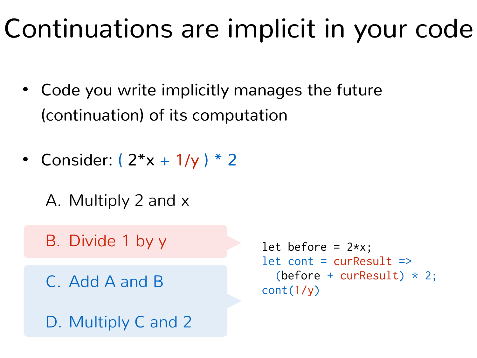#### Continuations are implicit in your code

- Code you write implicitly manages the future (continuation) of its computation
- Consider:  $(2*x + 1/y) * 2$ 
	- A. Multiply 2 and x
	- B. Divide 1 by y
	- C. Add A and B
	- D. Multiply C and 2

```
let before = 2*x;
let cont = curResult => 
  (before + curResult) * 2;cont(1/y)
```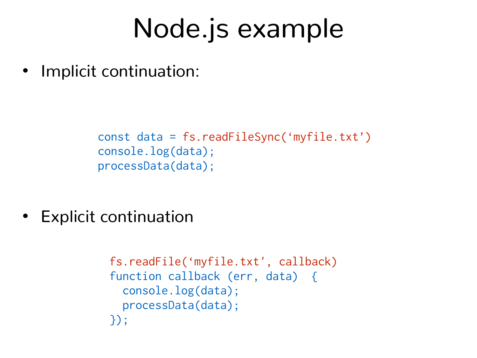#### Node.js example

• Implicit continuation:

```
const data = fs.readFileSync('myfile.txt')
console.log(data);
processData(data);
```
• Explicit continuation

```
fs.readFile('myfile.txt', callback) 
function callback (err, data) { 
   console.log(data);
   processData(data);
});
```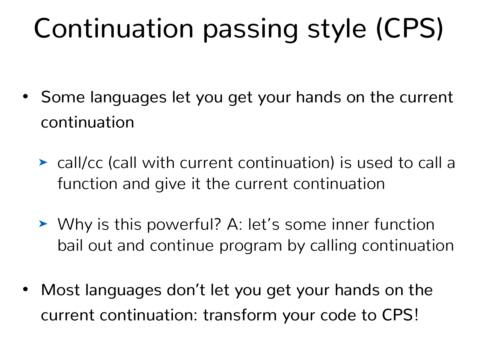# Continuation passing style (CPS)

- Some languages let you get your hands on the current continuation
	- ➤ call/cc (call with current continuation) is used to call a function and give it the current continuation
	- ➤ Why is this powerful? A: let's some inner function bail out and continue program by calling continuation
- Most languages don't let you get your hands on the current continuation: transform your code to CPS!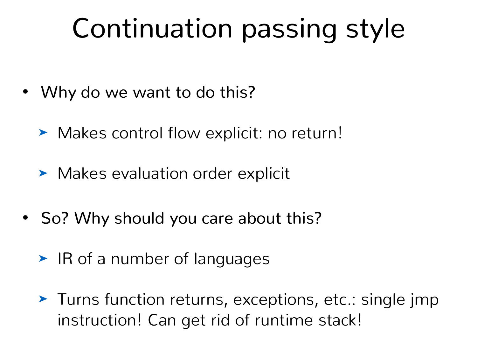# Continuation passing style

- Why do we want to do this?
	- ➤ Makes control flow explicit: no return!
	- ➤ Makes evaluation order explicit
- So? Why should you care about this?
	- ➤ IR of a number of languages
	- ➤ Turns function returns, exceptions, etc.: single jmp instruction! Can get rid of runtime stack!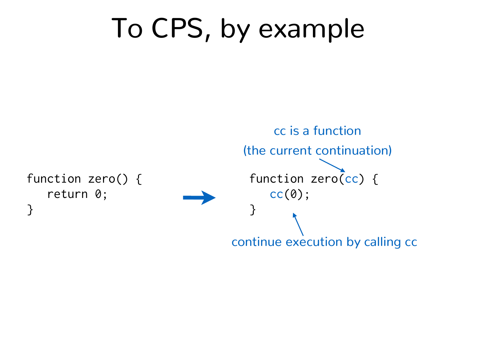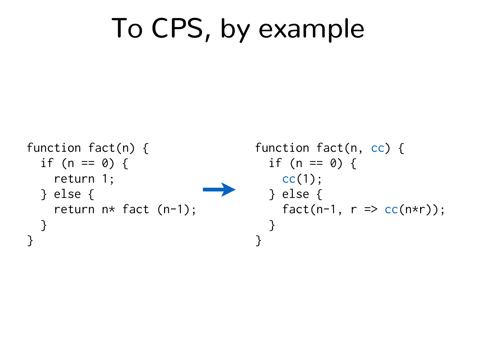```
function fact(n) { 
  if (n == 0) {
     return 1; 
   } else { 
     return n* fact (n-1); 
   } 
}
                                        function fact(n, cc) { 
                                          if (n == 0) {
                                            cc(1); } else { 
                                            fact(n-1, r \Rightarrow cc(n*r));
                                           } 
                                        }
```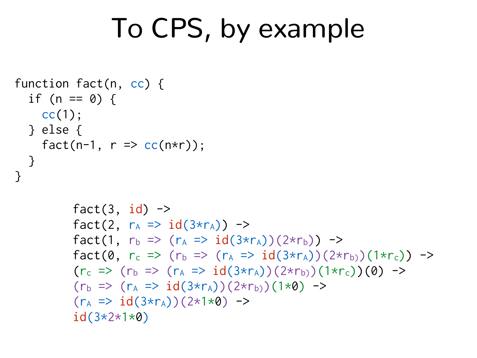```
function fact(n, cc) { 
  if (n == 0) {
    cc(1); } else { 
    fact(n-1, r \Rightarrow cc(n*r));
  } 
}
```

```
fact(3, id) ->
fact(2, r_A \Rightarrow id(3\star r_A)) ->
fact(1, r_b \Rightarrow (r_A \Rightarrow id(3*r_A))(2*r_b)) \Rightarrowfact(0, r<sub>c</sub> => (r<sub>b</sub> => (r<sub>A</sub> => id(3*r<sub>A</sub>))(2*r<sub>b)</sub>)(1*r<sub>c</sub>)) ->
(r_c \Rightarrow (r_b \Rightarrow (r_A \Rightarrow id(3*r_A))(2*r_b))(1*r_c)(0) \Rightarrow(r_b \Rightarrow (r_A \Rightarrow id(3*r_A))(2*r_b)(1*0) \rightarrow(r_A \Rightarrow id(3*r_A))(2*1*0) \rightarrowid(3*2*1*0)
```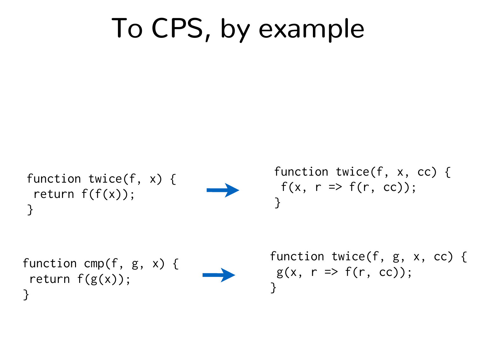function twice(f, x) { return  $f(f(x))$ ; }



function twice(f, x, cc) {  $f(x, r \Rightarrow f(r, cc))$ ; }

function cmp(f, g, x) { return f(g(x)); }



function twice(f, g, x, cc) {  $g(x, r \Rightarrow f(r, cc));$ }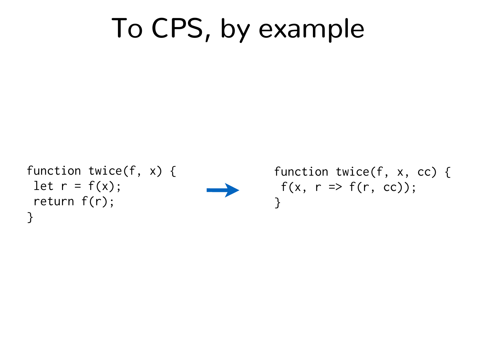```
function twice(f, x) { 
 let r = f(x);
  return f(r); 
}
```


function twice(f, x, cc) {  $f(x, r \Rightarrow f(r, cc))$ ; }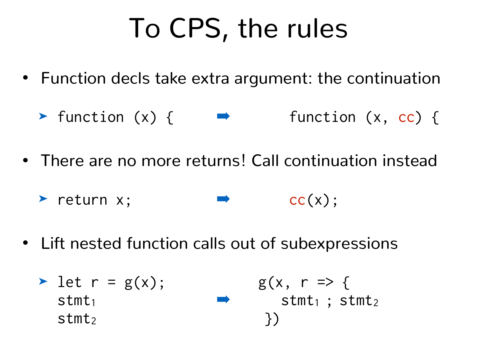# To CPS, the rules

- Function decls take extra argument: the continuation
	- $\triangleright$  function (x) {  $\blacksquare$  function (x, cc) {
- There are no more returns! Call continuation instead
	- ➤ return x; ➡ cc(x);
- Lift nested function calls out of subexpressions
	- $\triangleright$  let  $r = g(x)$ ; g(x,  $r \Rightarrow$  {  $\mathsf{stmt}_1$  stmt<sub>1</sub>; stmt<sub>2</sub>  $stmt<sub>2</sub>$  }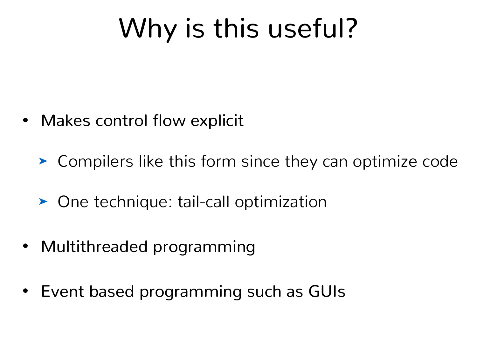# Why is this useful?

• Makes control flow explicit

➤ Compilers like this form since they can optimize code

- ➤ One technique: tail-call optimization
- Multithreaded programming
- Event based programming such as GUIs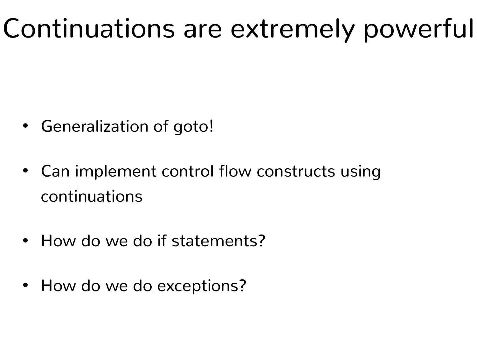### Continuations are extremely powerful

- Generalization of goto!
- Can implement control flow constructs using continuations
- How do we do if statements?
- How do we do exceptions?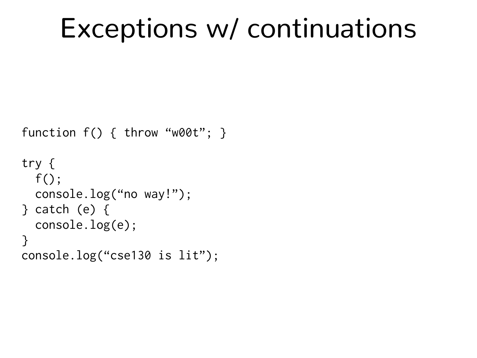#### Exceptions w/ continuations

```
function f() { throw "w00t"; }
```

```
try { 
   f(); 
   console.log("no way!"); 
} catch (e) { 
   console.log(e); 
} 
console.log("cse130 is lit");
```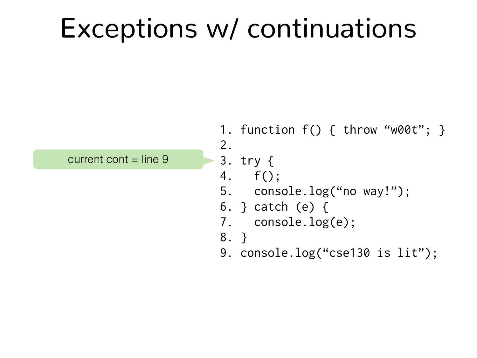#### Exceptions w/ continuations

current cont  $=$  line  $9$ 

1. function f() { throw "w00t"; } 2.

```
3. try {
```

```
4. f();
```

```
5. console.log("no way!");
```

```
6. } catch (e) {
```

```
7. console.log(e);
```

```
8. }
```
9. console.log("cse130 is lit");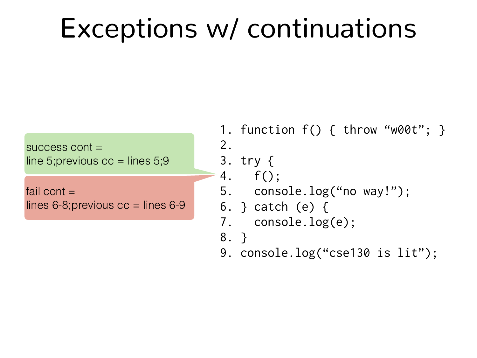#### Exceptions w/ continuations

success cont = line 5; previous  $cc =$  lines 5; 9

fail cont  $=$ lines  $6 - 8$ ; previous  $cc =$  lines  $6 - 9$  1. function f() { throw "w00t"; } 2.

```
3. try {
```

```
4. f();
```

```
5. console.log("no way!");
```

```
6. } catch (e) {
```

```
7. console.log(e);
```

```
8. }
```
9. console.log("cse130 is lit");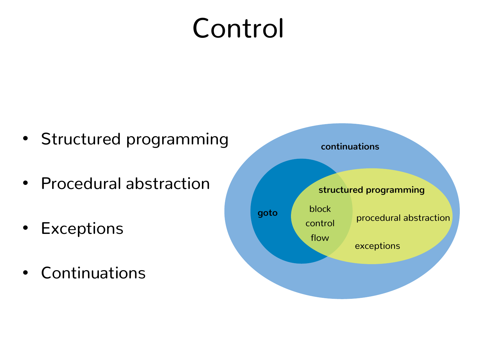# Control

- Structured programming
- Procedural abstraction
- Exceptions
- Continuations